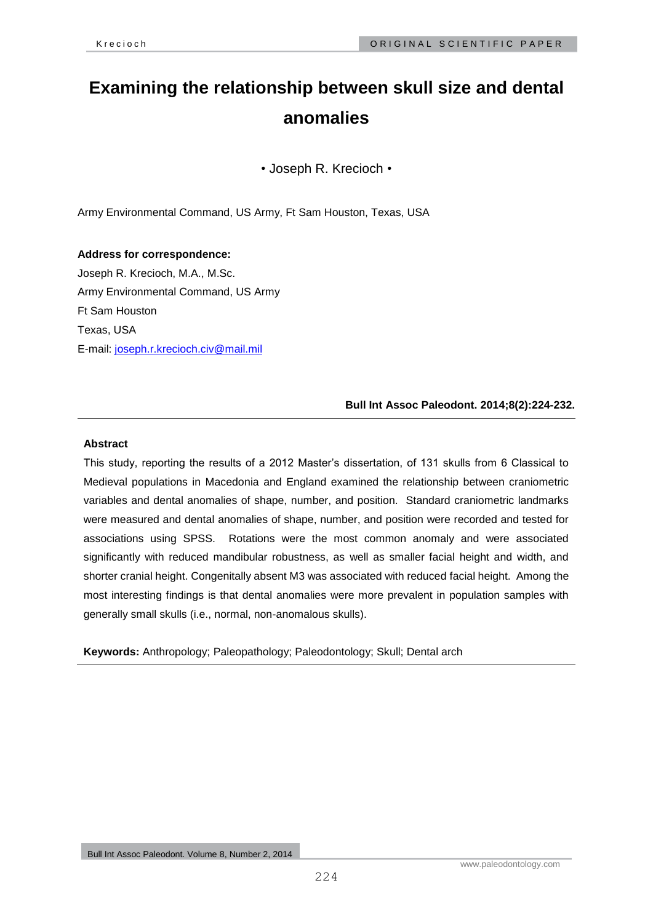# **Examining the relationship between skull size and dental anomalies**

• Joseph R. Krecioch •

Army Environmental Command, US Army, Ft Sam Houston, Texas, USA

**Address for correspondence:** Joseph R. Krecioch, M.A., M.Sc. Army Environmental Command, US Army Ft Sam Houston Texas, USA E-mail: [joseph.r.krecioch.civ@mail.mil](mailto:joseph.r.krecioch.civ@mail.mil)

**Bull Int Assoc Paleodont. 2014;8(2):224-232.**

# **Abstract**

This study, reporting the results of a 2012 Master's dissertation, of 131 skulls from 6 Classical to Medieval populations in Macedonia and England examined the relationship between craniometric variables and dental anomalies of shape, number, and position. Standard craniometric landmarks were measured and dental anomalies of shape, number, and position were recorded and tested for associations using SPSS. Rotations were the most common anomaly and were associated significantly with reduced mandibular robustness, as well as smaller facial height and width, and shorter cranial height. Congenitally absent M3 was associated with reduced facial height. Among the most interesting findings is that dental anomalies were more prevalent in population samples with generally small skulls (i.e., normal, non-anomalous skulls).

**Keywords:** Anthropology; Paleopathology; Paleodontology; Skull; Dental arch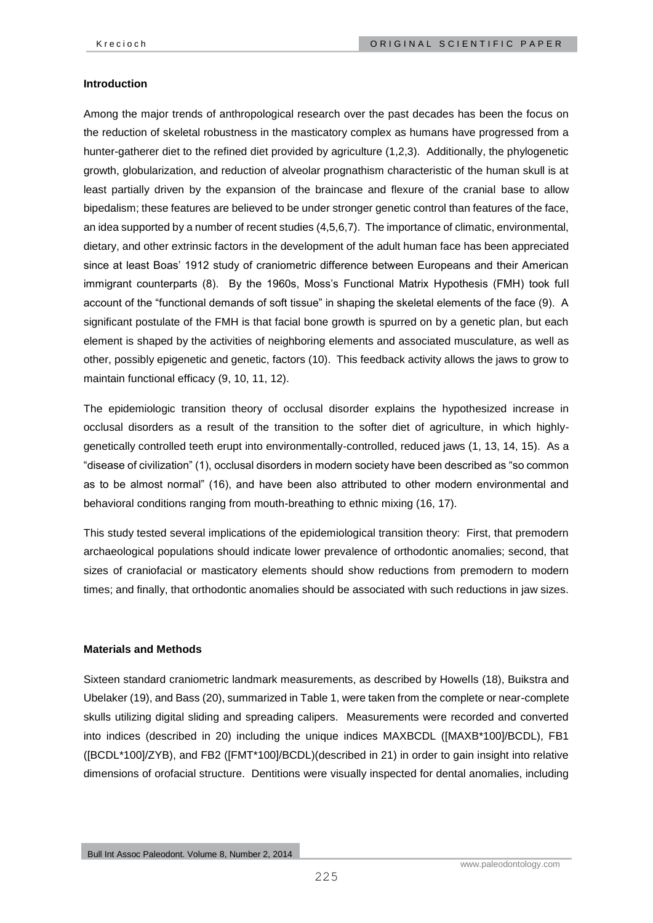### **Introduction**

Among the major trends of anthropological research over the past decades has been the focus on the reduction of skeletal robustness in the masticatory complex as humans have progressed from a hunter-gatherer diet to the refined diet provided by agriculture (1,2,3). Additionally, the phylogenetic growth, globularization, and reduction of alveolar prognathism characteristic of the human skull is at least partially driven by the expansion of the braincase and flexure of the cranial base to allow bipedalism; these features are believed to be under stronger genetic control than features of the face, an idea supported by a number of recent studies (4,5,6,7). The importance of climatic, environmental, dietary, and other extrinsic factors in the development of the adult human face has been appreciated since at least Boas' 1912 study of craniometric difference between Europeans and their American immigrant counterparts (8). By the 1960s, Moss's Functional Matrix Hypothesis (FMH) took full account of the "functional demands of soft tissue" in shaping the skeletal elements of the face (9). A significant postulate of the FMH is that facial bone growth is spurred on by a genetic plan, but each element is shaped by the activities of neighboring elements and associated musculature, as well as other, possibly epigenetic and genetic, factors (10). This feedback activity allows the jaws to grow to maintain functional efficacy (9, 10, 11, 12).

The epidemiologic transition theory of occlusal disorder explains the hypothesized increase in occlusal disorders as a result of the transition to the softer diet of agriculture, in which highlygenetically controlled teeth erupt into environmentally-controlled, reduced jaws (1, 13, 14, 15). As a "disease of civilization" (1), occlusal disorders in modern society have been described as "so common as to be almost normal" (16), and have been also attributed to other modern environmental and behavioral conditions ranging from mouth-breathing to ethnic mixing (16, 17).

This study tested several implications of the epidemiological transition theory: First, that premodern archaeological populations should indicate lower prevalence of orthodontic anomalies; second, that sizes of craniofacial or masticatory elements should show reductions from premodern to modern times; and finally, that orthodontic anomalies should be associated with such reductions in jaw sizes.

#### **Materials and Methods**

Sixteen standard craniometric landmark measurements, as described by Howells (18), Buikstra and Ubelaker (19), and Bass (20), summarized in Table 1, were taken from the complete or near-complete skulls utilizing digital sliding and spreading calipers. Measurements were recorded and converted into indices (described in 20) including the unique indices MAXBCDL ([MAXB\*100]/BCDL), FB1 ([BCDL\*100]/ZYB), and FB2 ([FMT\*100]/BCDL)(described in 21) in order to gain insight into relative dimensions of orofacial structure. Dentitions were visually inspected for dental anomalies, including

Bull Int Assoc Paleodont. Volume 8, Number 2, 2014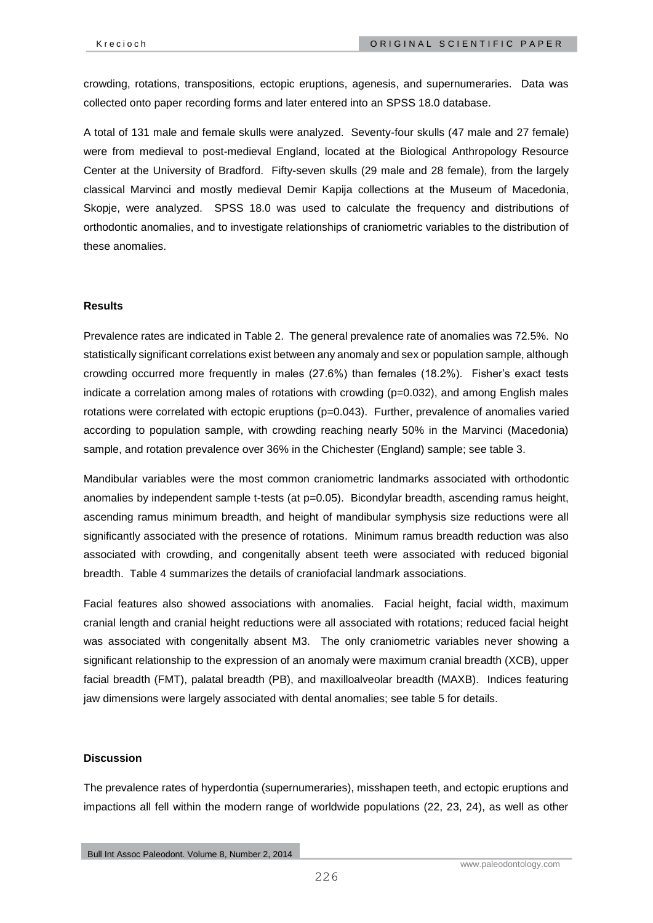crowding, rotations, transpositions, ectopic eruptions, agenesis, and supernumeraries. Data was collected onto paper recording forms and later entered into an SPSS 18.0 database.

A total of 131 male and female skulls were analyzed. Seventy-four skulls (47 male and 27 female) were from medieval to post-medieval England, located at the Biological Anthropology Resource Center at the University of Bradford. Fifty-seven skulls (29 male and 28 female), from the largely classical Marvinci and mostly medieval Demir Kapija collections at the Museum of Macedonia, Skopje, were analyzed. SPSS 18.0 was used to calculate the frequency and distributions of orthodontic anomalies, and to investigate relationships of craniometric variables to the distribution of these anomalies.

# **Results**

Prevalence rates are indicated in Table 2. The general prevalence rate of anomalies was 72.5%. No statistically significant correlations exist between any anomaly and sex or population sample, although crowding occurred more frequently in males (27.6%) than females (18.2%). Fisher's exact tests indicate a correlation among males of rotations with crowding (p=0.032), and among English males rotations were correlated with ectopic eruptions (p=0.043). Further, prevalence of anomalies varied according to population sample, with crowding reaching nearly 50% in the Marvinci (Macedonia) sample, and rotation prevalence over 36% in the Chichester (England) sample; see table 3.

Mandibular variables were the most common craniometric landmarks associated with orthodontic anomalies by independent sample t-tests (at p=0.05). Bicondylar breadth, ascending ramus height, ascending ramus minimum breadth, and height of mandibular symphysis size reductions were all significantly associated with the presence of rotations. Minimum ramus breadth reduction was also associated with crowding, and congenitally absent teeth were associated with reduced bigonial breadth. Table 4 summarizes the details of craniofacial landmark associations.

Facial features also showed associations with anomalies. Facial height, facial width, maximum cranial length and cranial height reductions were all associated with rotations; reduced facial height was associated with congenitally absent M3. The only craniometric variables never showing a significant relationship to the expression of an anomaly were maximum cranial breadth (XCB), upper facial breadth (FMT), palatal breadth (PB), and maxilloalveolar breadth (MAXB). Indices featuring jaw dimensions were largely associated with dental anomalies; see table 5 for details.

## **Discussion**

The prevalence rates of hyperdontia (supernumeraries), misshapen teeth, and ectopic eruptions and impactions all fell within the modern range of worldwide populations (22, 23, 24), as well as other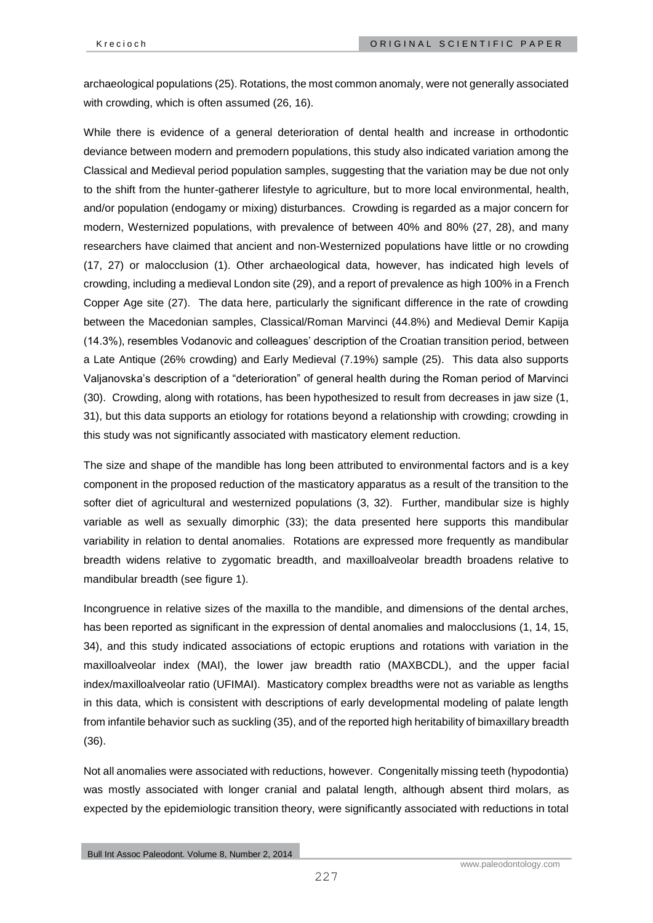archaeological populations (25). Rotations, the most common anomaly, were not generally associated with crowding, which is often assumed (26, 16).

While there is evidence of a general deterioration of dental health and increase in orthodontic deviance between modern and premodern populations, this study also indicated variation among the Classical and Medieval period population samples, suggesting that the variation may be due not only to the shift from the hunter-gatherer lifestyle to agriculture, but to more local environmental, health, and/or population (endogamy or mixing) disturbances. Crowding is regarded as a major concern for modern, Westernized populations, with prevalence of between 40% and 80% (27, 28), and many researchers have claimed that ancient and non-Westernized populations have little or no crowding (17, 27) or malocclusion (1). Other archaeological data, however, has indicated high levels of crowding, including a medieval London site (29), and a report of prevalence as high 100% in a French Copper Age site (27). The data here, particularly the significant difference in the rate of crowding between the Macedonian samples, Classical/Roman Marvinci (44.8%) and Medieval Demir Kapija (14.3%), resembles Vodanovic and colleagues' description of the Croatian transition period, between a Late Antique (26% crowding) and Early Medieval (7.19%) sample (25). This data also supports Valjanovska's description of a "deterioration" of general health during the Roman period of Marvinci (30). Crowding, along with rotations, has been hypothesized to result from decreases in jaw size (1, 31), but this data supports an etiology for rotations beyond a relationship with crowding; crowding in this study was not significantly associated with masticatory element reduction.

The size and shape of the mandible has long been attributed to environmental factors and is a key component in the proposed reduction of the masticatory apparatus as a result of the transition to the softer diet of agricultural and westernized populations (3, 32). Further, mandibular size is highly variable as well as sexually dimorphic (33); the data presented here supports this mandibular variability in relation to dental anomalies. Rotations are expressed more frequently as mandibular breadth widens relative to zygomatic breadth, and maxilloalveolar breadth broadens relative to mandibular breadth (see figure 1).

Incongruence in relative sizes of the maxilla to the mandible, and dimensions of the dental arches, has been reported as significant in the expression of dental anomalies and malocclusions (1, 14, 15, 34), and this study indicated associations of ectopic eruptions and rotations with variation in the maxilloalveolar index (MAI), the lower jaw breadth ratio (MAXBCDL), and the upper facial index/maxilloalveolar ratio (UFIMAI). Masticatory complex breadths were not as variable as lengths in this data, which is consistent with descriptions of early developmental modeling of palate length from infantile behavior such as suckling (35), and of the reported high heritability of bimaxillary breadth (36).

Not all anomalies were associated with reductions, however. Congenitally missing teeth (hypodontia) was mostly associated with longer cranial and palatal length, although absent third molars, as expected by the epidemiologic transition theory, were significantly associated with reductions in total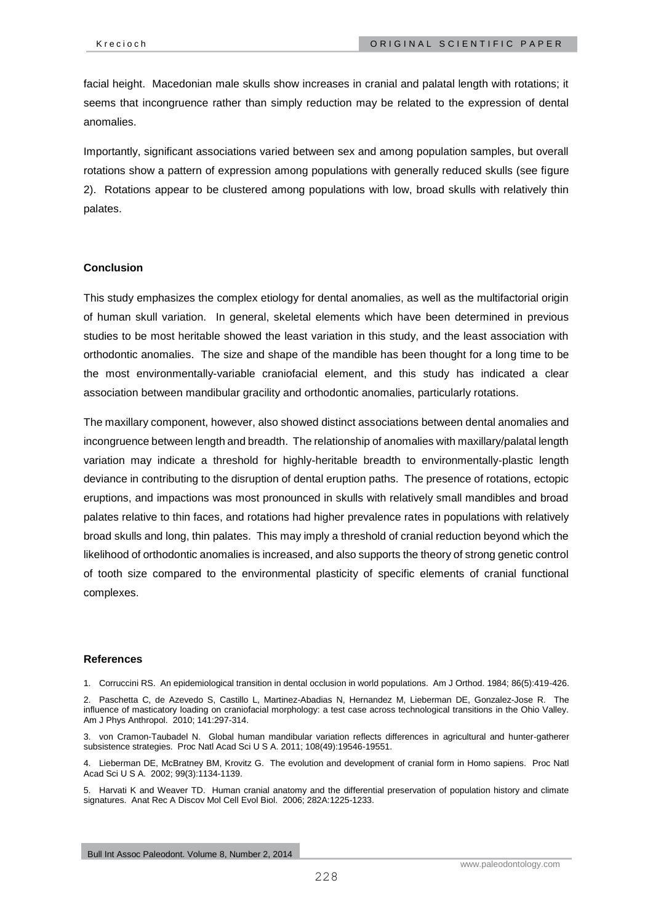facial height. Macedonian male skulls show increases in cranial and palatal length with rotations; it seems that incongruence rather than simply reduction may be related to the expression of dental anomalies.

Importantly, significant associations varied between sex and among population samples, but overall rotations show a pattern of expression among populations with generally reduced skulls (see figure 2). Rotations appear to be clustered among populations with low, broad skulls with relatively thin palates.

## **Conclusion**

This study emphasizes the complex etiology for dental anomalies, as well as the multifactorial origin of human skull variation. In general, skeletal elements which have been determined in previous studies to be most heritable showed the least variation in this study, and the least association with orthodontic anomalies. The size and shape of the mandible has been thought for a long time to be the most environmentally-variable craniofacial element, and this study has indicated a clear association between mandibular gracility and orthodontic anomalies, particularly rotations.

The maxillary component, however, also showed distinct associations between dental anomalies and incongruence between length and breadth. The relationship of anomalies with maxillary/palatal length variation may indicate a threshold for highly-heritable breadth to environmentally-plastic length deviance in contributing to the disruption of dental eruption paths. The presence of rotations, ectopic eruptions, and impactions was most pronounced in skulls with relatively small mandibles and broad palates relative to thin faces, and rotations had higher prevalence rates in populations with relatively broad skulls and long, thin palates. This may imply a threshold of cranial reduction beyond which the likelihood of orthodontic anomalies is increased, and also supports the theory of strong genetic control of tooth size compared to the environmental plasticity of specific elements of cranial functional complexes.

#### **References**

1. Corruccini RS. An epidemiological transition in dental occlusion in world populations. Am J Orthod. 1984; 86(5):419-426.

4. Lieberman DE, McBratney BM, Krovitz G. The evolution and development of cranial form in Homo sapiens. Proc Natl Acad Sci U S A. 2002; 99(3):1134-1139.

5. Harvati K and Weaver TD. Human cranial anatomy and the differential preservation of population history and climate signatures. Anat Rec A Discov Mol Cell Evol Biol. 2006; 282A:1225-1233.

<sup>2.</sup> Paschetta C, de Azevedo S, Castillo L, Martinez-Abadias N, Hernandez M, Lieberman DE, Gonzalez-Jose R. The influence of masticatory loading on craniofacial morphology: a test case across technological transitions in the Ohio Valley. Am J Phys Anthropol. 2010; 141:297-314.

<sup>3.</sup> von Cramon-Taubadel N. Global human mandibular variation reflects differences in agricultural and hunter-gatherer subsistence strategies. Proc Natl Acad Sci U S A. 2011; 108(49):19546-19551.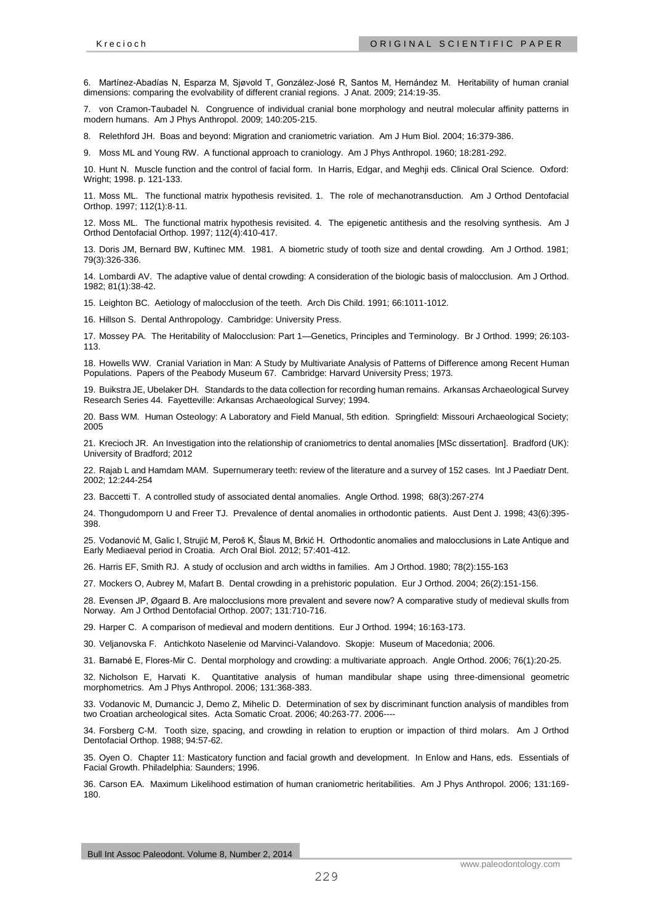6. Martínez-Abadías N, Esparza M, Sjøvold T, González-José R, Santos M, Hernández M. Heritability of human cranial dimensions: comparing the evolvability of different cranial regions. J Anat. 2009; 214:19-35.

7. von Cramon-Taubadel N. Congruence of individual cranial bone morphology and neutral molecular affinity patterns in modern humans. Am J Phys Anthropol. 2009; 140:205-215.

8. Relethford JH. Boas and beyond: Migration and craniometric variation. Am J Hum Biol. 2004; 16:379-386.

9. Moss ML and Young RW. A functional approach to craniology. Am J Phys Anthropol. 1960; 18:281-292.

10. Hunt N. Muscle function and the control of facial form. In Harris, Edgar, and Meghji eds. Clinical Oral Science. Oxford: Wright; 1998. p. 121-133.

11. Moss ML. The functional matrix hypothesis revisited. 1. The role of mechanotransduction. Am J Orthod Dentofacial Orthop. 1997; 112(1):8-11.

12. Moss ML. The functional matrix hypothesis revisited. 4. The epigenetic antithesis and the resolving synthesis. Am J Orthod Dentofacial Orthop. 1997; 112(4):410-417.

13. Doris JM, Bernard BW, Kuftinec MM. 1981. A biometric study of tooth size and dental crowding. Am J Orthod. 1981; 79(3):326-336.

14. Lombardi AV. The adaptive value of dental crowding: A consideration of the biologic basis of malocclusion. Am J Orthod. 1982; 81(1):38-42.

15. Leighton BC. Aetiology of malocclusion of the teeth. Arch Dis Child. 1991; 66:1011-1012.

16. Hillson S. Dental Anthropology. Cambridge: University Press.

17. Mossey PA. The Heritability of Malocclusion: Part 1—Genetics, Principles and Terminology. Br J Orthod. 1999; 26:103- 113.

18. Howells WW. Cranial Variation in Man: A Study by Multivariate Analysis of Patterns of Difference among Recent Human Populations. Papers of the Peabody Museum 67. Cambridge: Harvard University Press; 1973.

19. Buikstra JE, Ubelaker DH. Standards to the data collection for recording human remains. Arkansas Archaeological Survey Research Series 44. Fayetteville: Arkansas Archaeological Survey; 1994.

20. Bass WM. Human Osteology: A Laboratory and Field Manual, 5th edition. Springfield: Missouri Archaeological Society; 2005

21. Krecioch JR. An Investigation into the relationship of craniometrics to dental anomalies [MSc dissertation]. Bradford (UK): University of Bradford; 2012

22. Rajab L and Hamdam MAM. Supernumerary teeth: review of the literature and a survey of 152 cases. Int J Paediatr Dent. 2002; 12:244-254

23. Baccetti T. A controlled study of associated dental anomalies. Angle Orthod. 1998; 68(3):267-274

24. Thongudomporn U and Freer TJ. Prevalence of dental anomalies in orthodontic patients. Aust Dent J. 1998; 43(6):395- 398.

25. Vodanović M, Galic I, Strujić M, Peroš K, Šlaus M, Brkić H. Orthodontic anomalies and malocclusions in Late Antique and Early Mediaeval period in Croatia. Arch Oral Biol. 2012; 57:401-412.

26. Harris EF, Smith RJ. A study of occlusion and arch widths in families. Am J Orthod. 1980; 78(2):155-163

27. Mockers O, Aubrey M, Mafart B. Dental crowding in a prehistoric population. Eur J Orthod. 2004; 26(2):151-156.

28. Evensen JP, Øgaard B. Are malocclusions more prevalent and severe now? A comparative study of medieval skulls from Norway. Am J Orthod Dentofacial Orthop. 2007; 131:710-716.

29. Harper C. A comparison of medieval and modern dentitions. Eur J Orthod. 1994; 16:163-173.

30. Veljanovska F. Antichkoto Naselenie od Marvinci-Valandovo. Skopje: Museum of Macedonia; 2006.

31. Barnabé E, Flores-Mir C. Dental morphology and crowding: a multivariate approach. Angle Orthod. 2006; 76(1):20-25.

32. Nicholson E, Harvati K. Quantitative analysis of human mandibular shape using three-dimensional geometric morphometrics. Am J Phys Anthropol. 2006; 131:368-383.

33. Vodanovic M, Dumancic J, Demo Z, Mihelic D. Determination of sex by discriminant function analysis of mandibles from two Croatian archeological sites. Acta Somatic Croat. 2006; 40:263-77. 2006----

34. Forsberg C-M. Tooth size, spacing, and crowding in relation to eruption or impaction of third molars. Am J Orthod Dentofacial Orthop. 1988; 94:57-62.

35. Oyen O. Chapter 11: Masticatory function and facial growth and development. In Enlow and Hans, eds. Essentials of Facial Growth. Philadelphia: Saunders; 1996.

36. Carson EA. Maximum Likelihood estimation of human craniometric heritabilities. Am J Phys Anthropol. 2006; 131:169- 180.

Bull Int Assoc Paleodont. Volume 8, Number 2, 2014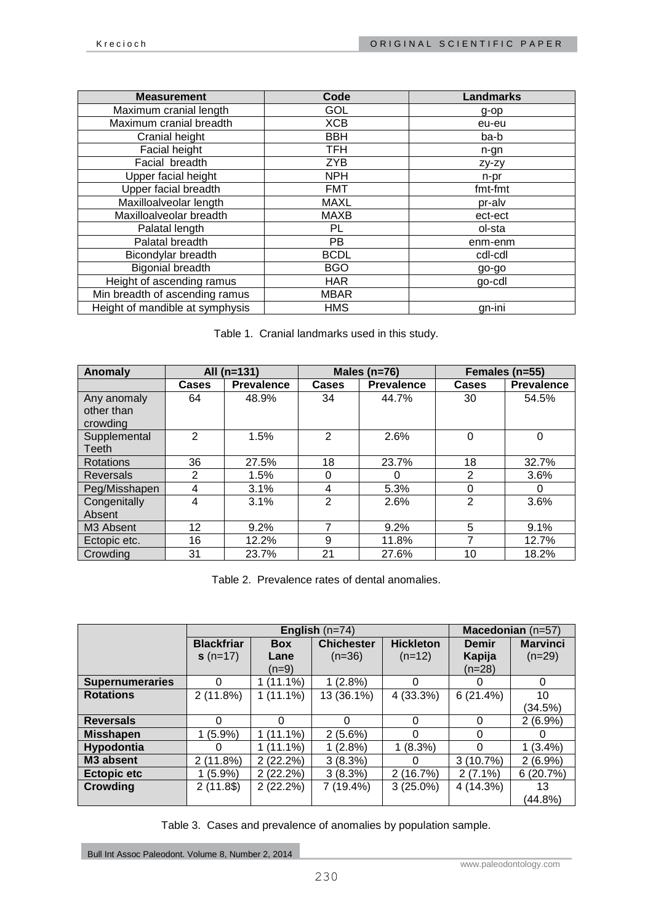| <b>Measurement</b>              | Code        | <b>Landmarks</b> |
|---------------------------------|-------------|------------------|
| Maximum cranial length          | GOL         | g-op             |
| Maximum cranial breadth         | <b>XCB</b>  | eu-eu            |
| Cranial height                  | <b>BBH</b>  | ba-b             |
| Facial height                   | <b>TFH</b>  | n-gn             |
| Facial breadth                  | <b>ZYB</b>  | zy-zy            |
| Upper facial height             | <b>NPH</b>  | n-pr             |
| Upper facial breadth            | <b>FMT</b>  | fmt-fmt          |
| Maxilloalveolar length          | <b>MAXL</b> | pr-alv           |
| Maxilloalveolar breadth         | <b>MAXB</b> | ect-ect          |
| Palatal length                  | PL.         | ol-sta           |
| Palatal breadth                 | PB.         | enm-enm          |
| Bicondylar breadth              | <b>BCDL</b> | cdl-cdl          |
| <b>Bigonial breadth</b>         | <b>BGO</b>  | go-go            |
| Height of ascending ramus       | <b>HAR</b>  | go-cdl           |
| Min breadth of ascending ramus  | <b>MBAR</b> |                  |
| Height of mandible at symphysis | <b>HMS</b>  | gn-ini           |

Table 1. Cranial landmarks used in this study.

| Anomaly                               |                   | All $(n=131)$     |              | Males $(n=76)$    | Females (n=55) |                   |
|---------------------------------------|-------------------|-------------------|--------------|-------------------|----------------|-------------------|
|                                       | <b>Cases</b>      | <b>Prevalence</b> | <b>Cases</b> | <b>Prevalence</b> | Cases          | <b>Prevalence</b> |
| Any anomaly<br>other than<br>crowding | 64                | 48.9%             | 34           | 44.7%             | 30             | 54.5%             |
| Supplemental<br>Teeth                 | 2                 | 1.5%              | 2            | 2.6%              | 0              | 0                 |
| Rotations                             | 36                | 27.5%             | 18           | 23.7%             | 18             | 32.7%             |
| <b>Reversals</b>                      | 2                 | 1.5%              | 0            | 0                 | $\overline{2}$ | 3.6%              |
| Peg/Misshapen                         | 4                 | 3.1%              | 4            | 5.3%              | 0              | O                 |
| Congenitally<br>Absent                | 4                 | 3.1%              | 2            | 2.6%              | $\mathfrak{p}$ | 3.6%              |
| M <sub>3</sub> Absent                 | $12 \overline{ }$ | 9.2%              | 7            | 9.2%              | 5              | 9.1%              |
| Ectopic etc.                          | 16                | 12.2%             | 9            | 11.8%             |                | 12.7%             |
| Crowding                              | 31                | 23.7%             | 21           | 27.6%             | 10             | 18.2%             |

Table 2. Prevalence rates of dental anomalies.

|                        |                   | English $(n=74)$ | Macedonian (n=57) |                  |              |                 |
|------------------------|-------------------|------------------|-------------------|------------------|--------------|-----------------|
|                        | <b>Blackfriar</b> | <b>Box</b>       | <b>Chichester</b> | <b>Hickleton</b> | <b>Demir</b> | <b>Marvinci</b> |
|                        | $s(n=17)$         | Lane             | $(n=36)$          | $(n=12)$         | Kapija       | $(n=29)$        |
|                        |                   | $(n=9)$          |                   |                  | $(n=28)$     |                 |
| <b>Supernumeraries</b> | 0                 | $1(11.1\%)$      | 1(2.8%)           | 0                | 0            | $\Omega$        |
| <b>Rotations</b>       | 2(11.8%)          | $1(11.1\%)$      | 13 (36.1%)        | 4 (33.3%)        | 6(21.4%)     | 10              |
|                        |                   |                  |                   |                  |              | (34.5%)         |
| <b>Reversals</b>       | 0                 | $\Omega$         | $\Omega$          | $\Omega$         | $\Omega$     | $2(6.9\%)$      |
| <b>Misshapen</b>       | $(5.9\%)$         | $(11.1\%)$       | $2(5.6\%)$        | 0                | 0            | U               |
| <b>Hypodontia</b>      | O                 | $1(11.1\%)$      | 1(2.8%)           | 1(8.3%)          | $\Omega$     | $1(3.4\%)$      |
| M3 absent              | 2(11.8%)          | 2(22.2%)         | 3(8.3%)           | 0                | 3(10.7%)     | $2(6.9\%)$      |
| <b>Ectopic etc</b>     | (5.9%)            | 2(22.2%)         | 3(8.3%)           | 2(16.7%)         | $2(7.1\%)$   | 6(20.7%)        |
| <b>Crowding</b>        | $2(11.8\$         | 2(22.2%)         | 7 (19.4%)         | $3(25.0\%)$      | 4 (14.3%)    | 13              |
|                        |                   |                  |                   |                  |              | $(44.8\%)$      |

Table 3. Cases and prevalence of anomalies by population sample.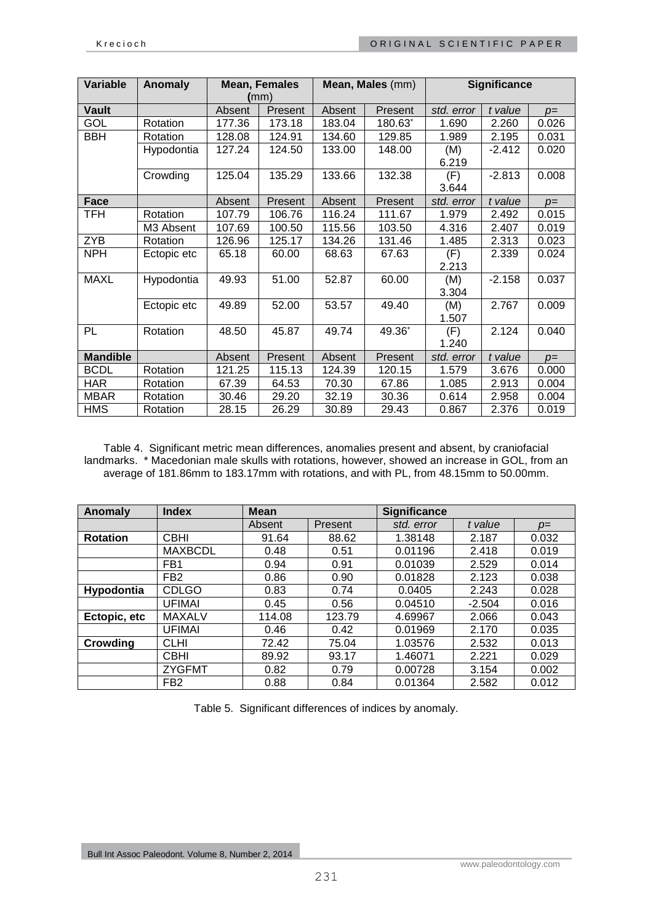| Variable        | Anomaly     |        | <b>Mean, Females</b><br>(mm) | Mean, Males (mm) |         | <b>Significance</b> |          |       |
|-----------------|-------------|--------|------------------------------|------------------|---------|---------------------|----------|-------|
| <b>Vault</b>    |             | Absent | Present                      | Absent           | Present | std. error          | t value  | $p=$  |
| GOL             | Rotation    | 177.36 | 173.18                       | 183.04           | 180.63* | 1.690               | 2.260    | 0.026 |
| <b>BBH</b>      | Rotation    | 128.08 | 124.91                       | 134.60           | 129.85  | 1.989               | 2.195    | 0.031 |
|                 | Hypodontia  | 127.24 | 124.50                       | 133.00           | 148.00  | (M)                 | $-2.412$ | 0.020 |
|                 |             |        |                              |                  |         | 6.219               |          |       |
|                 | Crowding    | 125.04 | 135.29                       | 133.66           | 132.38  | (F)                 | $-2.813$ | 0.008 |
|                 |             |        |                              |                  |         | 3.644               |          |       |
| <b>Face</b>     |             | Absent | Present                      | Absent           | Present | std. error          | t value  | $p=$  |
| TFH             | Rotation    | 107.79 | 106.76                       | 116.24           | 111.67  | 1.979               | 2.492    | 0.015 |
|                 | M3 Absent   | 107.69 | 100.50                       | 115.56           | 103.50  | 4.316               | 2.407    | 0.019 |
| <b>ZYB</b>      | Rotation    | 126.96 | 125.17                       | 134.26           | 131.46  | 1.485               | 2.313    | 0.023 |
| <b>NPH</b>      | Ectopic etc | 65.18  | 60.00                        | 68.63            | 67.63   | (F)                 | 2.339    | 0.024 |
|                 |             |        |                              |                  |         | 2.213               |          |       |
| <b>MAXL</b>     | Hypodontia  | 49.93  | 51.00                        | 52.87            | 60.00   | (M)                 | $-2.158$ | 0.037 |
|                 |             |        |                              |                  |         | 3.304               |          |       |
|                 | Ectopic etc | 49.89  | 52.00                        | 53.57            | 49.40   | (M)                 | 2.767    | 0.009 |
|                 |             |        |                              |                  |         | 1.507               |          |       |
| PL              | Rotation    | 48.50  | 45.87                        | 49.74            | 49.36*  | (F)                 | 2.124    | 0.040 |
|                 |             |        |                              |                  |         | 1.240               |          |       |
| <b>Mandible</b> |             | Absent | Present                      | Absent           | Present | std. error          | t value  | $p=$  |
| <b>BCDL</b>     | Rotation    | 121.25 | 115.13                       | 124.39           | 120.15  | 1.579               | 3.676    | 0.000 |
| <b>HAR</b>      | Rotation    | 67.39  | 64.53                        | 70.30            | 67.86   | 1.085               | 2.913    | 0.004 |
| <b>MBAR</b>     | Rotation    | 30.46  | 29.20                        | 32.19            | 30.36   | 0.614               | 2.958    | 0.004 |
| <b>HMS</b>      | Rotation    | 28.15  | 26.29                        | 30.89            | 29.43   | 0.867               | 2.376    | 0.019 |

Table 4. Significant metric mean differences, anomalies present and absent, by craniofacial landmarks. \* Macedonian male skulls with rotations, however, showed an increase in GOL, from an average of 181.86mm to 183.17mm with rotations, and with PL, from 48.15mm to 50.00mm.

| Anomaly         | <b>Index</b>    | <b>Mean</b> |         | Significance |          |       |
|-----------------|-----------------|-------------|---------|--------------|----------|-------|
|                 |                 | Absent      | Present | std. error   | t value  | $p=$  |
| <b>Rotation</b> | <b>CBHI</b>     | 91.64       | 88.62   | 1.38148      | 2.187    | 0.032 |
|                 | <b>MAXBCDL</b>  | 0.48        | 0.51    | 0.01196      | 2.418    | 0.019 |
|                 | FB <sub>1</sub> | 0.94        | 0.91    | 0.01039      | 2.529    | 0.014 |
|                 | FB <sub>2</sub> | 0.86        | 0.90    | 0.01828      | 2.123    | 0.038 |
| Hypodontia      | <b>CDLGO</b>    | 0.83        | 0.74    | 0.0405       | 2.243    | 0.028 |
|                 | <b>UFIMAI</b>   | 0.45        | 0.56    | 0.04510      | $-2.504$ | 0.016 |
| Ectopic, etc    | <b>MAXALV</b>   | 114.08      | 123.79  | 4.69967      | 2.066    | 0.043 |
|                 | <b>UFIMAI</b>   | 0.46        | 0.42    | 0.01969      | 2.170    | 0.035 |
| Crowding        | <b>CLHI</b>     | 72.42       | 75.04   | 1.03576      | 2.532    | 0.013 |
|                 | <b>CBHI</b>     | 89.92       | 93.17   | 1.46071      | 2.221    | 0.029 |
|                 | <b>ZYGFMT</b>   | 0.82        | 0.79    | 0.00728      | 3.154    | 0.002 |
|                 | FB <sub>2</sub> | 0.88        | 0.84    | 0.01364      | 2.582    | 0.012 |

Table 5. Significant differences of indices by anomaly.

Bull Int Assoc Paleodont. Volume 8, Number 2, 2014